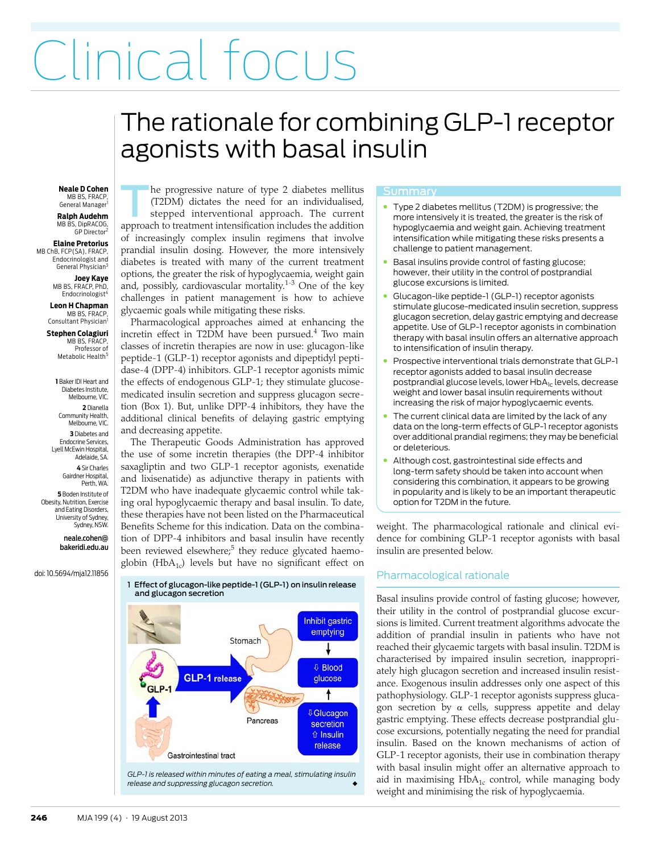# Clinical focus

## <span id="page-0-0"></span>The rationale for combining GLP-1 receptor agonists with basal insulin

#### **Neale D Cohen** MB BS, FRACP

General Manager **Ralph Audehm** MB BS, DipRACOG GP Director<sup>2</sup>

**Elaine Pretorius** MB ChB, FCP(SA), FRACP Endocrinologist and General Physician<sup>3</sup>

**Joey Kaye** MB BS, FRACP, PhD, Endocrinologist<sup>4</sup>

**Leon H Chapman** MB BS, FRACP Consultant Physician<sup>1</sup>

**Stephen Colagiuri** MB BS, FRACF Professor of Metabolic Health<sup>5</sup>

**1** Baker IDI Heart and Diabetes Institute, Melbourne, VIC.

**2** Dianella Community Health, Melbourne, VIC. **3** Diabetes and Endocrine Services, Lyell McEwin Hospital,

Adelaide, SA. **4** Sir Charles Gairdner Hospital, Perth, WA.

**5** Boden Institute of Obesity, Nutrition, Exercise and Eating Disorders, University of Sydney, Sydney, NSW.

> neale.cohen@ bakeridi.edu.au

doi: 10.5694/mja12.11856

he progressive nature of type 2 diabetes mellitus (T2DM) dictates the need for an individualised, stepped interventional approach. The current approach to treatment intensification includes the addition of increasingly complex insulin regimens that involve prandial insulin dosing. However, the more intensively diabetes is treated with many of the current treatment options, the greater the risk of hypoglycaemia, weight gain and, possibly, cardiovascular mortality.[1](#page-3-0)[-3](#page-3-1) One of the key challenges in patient management is how to achieve glycaemic goals while mitigating these risks. T

 $\frac{1}{2}$  The Medical deproducts annual at enhancing the open collagion incretin effect in T2DM have been pursued.<sup>[4](#page-3-2)</sup> Two main THE TRACE.<br>THE SS, FRACE,<br>Professor of classes of incretin therapies are now in use: glucagon-like Protessor of Causses of Increasing and How In use. graduation metapholic Health<sup>5</sup> peptide-1 (GLP-1) receptor agonists and dipeptidyl pepti- $P<sub>1</sub>$ Baker IDI Heart and  $\parallel$  the effects of endogenous GLP-1; they stimulate glucose-Pharmacological approaches aimed at enhancing the dase-4 (DPP-4) inhibitors. GLP-1 receptor agonists mimic medicated insulin secretion and suppress glucagon secretion (Box 1). But, unlike DPP-4 inhibitors, they have the additional clinical benefits of delaying gastric emptying and decreasing appetite.

> The Therapeutic Goods Administration has approved the use of some incretin therapies (the DPP-4 inhibitor saxagliptin and two GLP-1 receptor agonists, exenatide and lixisenatide) as adjunctive therapy in patients with T2DM who have inadequate glycaemic control while taking oral hypoglycaemic therapy and basal insulin. To date, these therapies have not been listed on the Pharmaceutical Benefits Scheme for this indication. Data on the combination of DPP-4 inhibitors and basal insulin have recently been reviewed elsewhere;<sup>5</sup> they reduce glycated haemoglobin (Hb $A_{1c}$ ) levels but have no significant effect on



#### Summary

- Type 2 diabetes mellitus (T2DM) is progressive; the more intensively it is treated, the greater is the risk of hypoglycaemia and weight gain. Achieving treatment intensification while mitigating these risks presents a challenge to patient management.
- Basal insulins provide control of fasting glucose; however, their utility in the control of postprandial glucose excursions is limited.
- Glucagon-like peptide-1 (GLP-1) receptor agonists stimulate glucose-medicated insulin secretion, suppress glucagon secretion, delay gastric emptying and decrease appetite. Use of GLP-1 receptor agonists in combination therapy with basal insulin offers an alternative approach to intensification of insulin therapy.
- Prospective interventional trials demonstrate that GLP-1 receptor agonists added to basal insulin decrease postprandial glucose levels, lower HbA<sub>1c</sub> levels, decrease weight and lower basal insulin requirements without increasing the risk of major hypoglycaemic events.
- The current clinical data are limited by the lack of any data on the long-term effects of GLP-1 receptor agonists over additional prandial regimens; they may be beneficial or deleterious.
- Although cost, gastrointestinal side effects and long-term safety should be taken into account when considering this combination, it appears to be growing in popularity and is likely to be an important therapeutic option for T2DM in the future.

weight. The pharmacological rationale and clinical evidence for combining GLP-1 receptor agonists with basal insulin are presented below.

### Pharmacological rationale

Basal insulins provide control of fasting glucose; however, their utility in the control of postprandial glucose excursions is limited. Current treatment algorithms advocate the addition of prandial insulin in patients who have not reached their glycaemic targets with basal insulin. T2DM is characterised by impaired insulin secretion, inappropriately high glucagon secretion and increased insulin resistance. Exogenous insulin addresses only one aspect of this pathophysiology. GLP-1 receptor agonists suppress glucagon secretion by  $\alpha$  cells, suppress appetite and delay gastric emptying. These effects decrease postprandial glucose excursions, potentially negating the need for prandial insulin. Based on the known mechanisms of action of GLP-1 receptor agonists, their use in combination therapy with basal insulin might offer an alternative approach to aid in maximising  $HbA_{1c}$  control, while managing body weight and minimising the risk of hypoglycaemia.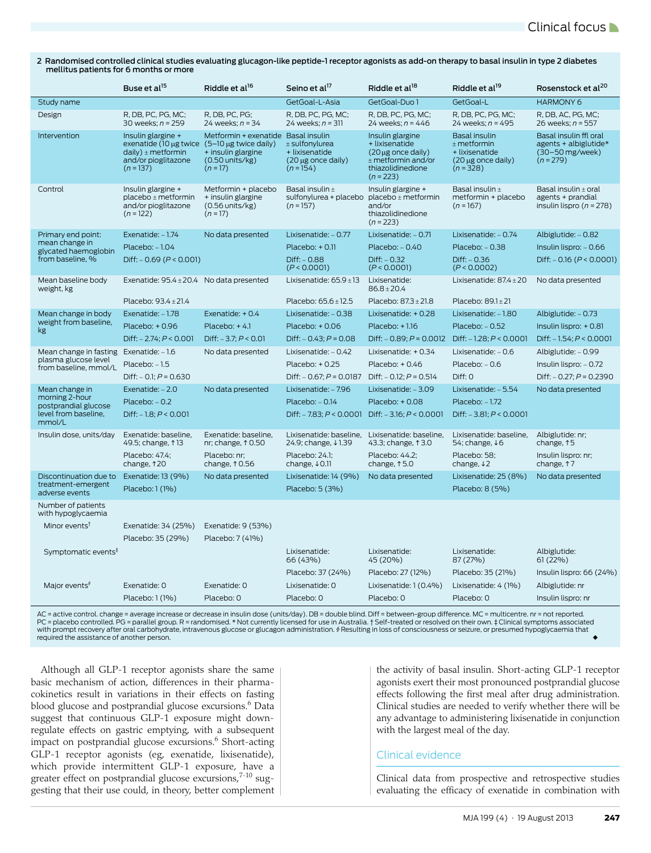2 Randomised controlled clinical studies evaluating glucagon-like peptide-1 receptor agonists as add-on therapy to basal insulin in type 2 diabetes mellitus patients for 6 months or more

|                                               | Buse et al <sup>15</sup>                                                                                                                     | Riddle et al <sup>16</sup>                                                                           | Seino et al <sup>17</sup>                                               | Riddle et al <sup>18</sup>                                                                                                | Riddle et al <sup>19</sup>                                                          | Rosenstock et al <sup>20</sup>                                                     |
|-----------------------------------------------|----------------------------------------------------------------------------------------------------------------------------------------------|------------------------------------------------------------------------------------------------------|-------------------------------------------------------------------------|---------------------------------------------------------------------------------------------------------------------------|-------------------------------------------------------------------------------------|------------------------------------------------------------------------------------|
| Study name                                    |                                                                                                                                              |                                                                                                      | GetGoal-L-Asia                                                          | GetGoal-Duo 1                                                                                                             | GetGoal-L                                                                           | <b>HARMONY 6</b>                                                                   |
| Design                                        | R, DB, PC, PG, MC;<br>30 weeks: $n = 259$                                                                                                    | R, DB, PC, PG;<br>24 weeks: $n = 34$                                                                 | R, DB, PC, PG, MC;<br>24 weeks: $n = 311$                               | R, DB, PC, PG, MC;<br>24 weeks: $n = 446$                                                                                 | R, DB, PC, PG, MC;<br>24 weeks: $n = 495$                                           | R, DB, AC, PG, MC;<br>26 weeks: $n = 557$                                          |
| Intervention                                  | Insulin glargine +<br>exenatide (10 $\mu$ g twice (5-10 $\mu$ g twice daily)<br>daily) $\pm$ metformin<br>and/or pioglitazone<br>$(n = 137)$ | Metformin + exenatide Basal insulin<br>+ insulin glargine<br>$(0.50 \text{ units/kg})$<br>$(n = 17)$ | $±$ sulfonylurea<br>+ lixisenatide<br>(20 µg once daily)<br>$(n = 154)$ | Insulin glargine<br>+ lixisenatide<br>$(20 \mu g$ once daily)<br>$±$ metformin and/or<br>thiazolidinedione<br>$(n = 223)$ | Basal insulin<br>$±$ metformin<br>+ lixisenatide<br>(20 µg once daily)<br>$(n=328)$ | Basal insulin ffl oral<br>agents + albiglutide $*$<br>(30-50 mg/week)<br>$(n=279)$ |
| Control                                       | Insulin glargine +<br>placebo ± metformin<br>and/or pioglitazone<br>$(n = 122)$                                                              | Metformin + placebo<br>+ insulin glargine<br>$(0.56$ units/kg)<br>$(n = 17)$                         | Basal insulin ±<br>sulfonylurea + placebo<br>$(n = 157)$                | Insulin glargine +<br>placebo ± metformin<br>and/or<br>thiazolidinedione<br>$(n = 223)$                                   | Basal insulin ±<br>metformin + placebo<br>$(n = 167)$                               | Basal insulin ± oral<br>agents + prandial<br>insulin lispro $(n = 278)$            |
| Primary end point:                            | Exenatide: $-1.74$                                                                                                                           | No data presented                                                                                    | Lixisenatide: - 0.77                                                    | Lixisenatide: $-0.71$                                                                                                     | Lixisenatide: - 0.74                                                                | Albiglutide: $-0.82$                                                               |
| mean change in<br>glycated haemoglobin        | $Placebo: -1.04$                                                                                                                             |                                                                                                      | $Placebo: + 0.11$                                                       | $Placebo: -0.40$                                                                                                          | $Placebo: -0.38$                                                                    | $Insulin lispro: -0.66$                                                            |
| from baseline, %                              | Diff: $-0.69$ ( $P < 0.001$ )                                                                                                                |                                                                                                      | $Diff: -0.88$<br>(P < 0.0001)                                           | $Diff: -0.32$<br>(P < 0.0001)                                                                                             | $Diff: -0.36$<br>(P < 0.0002)                                                       | Diff: $-0.16$ ( $P < 0.0001$ )                                                     |
| Mean baseline body<br>weight, kg              | Exenatide: $95.4 \pm 20.4$ No data presented                                                                                                 |                                                                                                      | Lixisenatide: $65.9 \pm 13$                                             | Lixisenatide:<br>$86.8 \pm 20.4$                                                                                          | Lixisenatide: $87.4 \pm 20$                                                         | No data presented                                                                  |
|                                               | Placebo: $93.4 \pm 21.4$                                                                                                                     |                                                                                                      | Placebo: $65.6 \pm 12.5$                                                | Placebo: $87.3 \pm 21.8$                                                                                                  | Placebo: $89.1 \pm 21$                                                              |                                                                                    |
| Mean change in body                           | Exenatide: -1.78                                                                                                                             | Exenatide: + 0.4                                                                                     | Lixisenatide: - 0.38                                                    | Lixisenatide: + 0.28                                                                                                      | Lixisenatide: - 1.80                                                                | Albiglutide: - 0.73                                                                |
| weight from baseline,<br>kg                   | Placebo: + 0.96                                                                                                                              | $Placebo: + 4.1$                                                                                     | $Placebo: +0.06$                                                        | Placebo: +1.16                                                                                                            | $Placebo: -0.52$                                                                    | Insulin lispro: $+0.81$                                                            |
|                                               | Diff: $-2.74$ ; $P < 0.001$                                                                                                                  | Diff: $-3.7$ ; $P < 0.01$                                                                            | Diff: $-0.43$ ; $P = 0.08$                                              | Diff: $-0.89; P = 0.0012$                                                                                                 | Diff: $-1.28$ ; $P < 0.0001$                                                        | Diff: $-1.54$ ; $P < 0.0001$                                                       |
| Mean change in fasting                        | Exenatide: $-1.6$                                                                                                                            | No data presented                                                                                    | Lixisenatide: $-0.42$                                                   | Lixisenatide: + 0.34                                                                                                      | Lixisenatide: $-0.6$                                                                | Albiglutide: - 0.99                                                                |
| plasma glucose level<br>from baseline, mmol/L | $Placebo: -1.5$                                                                                                                              |                                                                                                      | $Placebo: + 0.25$                                                       | $Placebo: + 0.46$                                                                                                         | $Placebo: -0.6$                                                                     | Insulin lispro: $-0.72$                                                            |
|                                               | Diff: $- 0.1$ ; $P = 0.630$                                                                                                                  |                                                                                                      | Diff: $-0.67; P = 0.0187$                                               | Diff: $- 0.12$ ; $P = 0.514$                                                                                              | Diff: 0                                                                             | Diff: $-0.27$ ; $P = 0.2390$                                                       |
| Mean change in                                | Exenatide: $-2.0$                                                                                                                            | No data presented                                                                                    | Lixisenatide: - 7.96                                                    | Lixisenatide: -3.09                                                                                                       | Lixisenatide: - 5.54                                                                | No data presented                                                                  |
| morning 2-hour<br>postprandial glucose        | $Placebo: -0.2$                                                                                                                              |                                                                                                      | $Placebo: -0.14$                                                        | Placebo: + 0.08                                                                                                           | $Placebo: -1.72$                                                                    |                                                                                    |
| level from baseline.<br>mmol/L                | Diff: $-1.8$ ; $P < 0.001$                                                                                                                   |                                                                                                      | Diff: $-7.83$ ; $P < 0.0001$                                            | Diff: $-3.16$ ; $P < 0.0001$                                                                                              | Diff: $-3.81; P < 0.0001$                                                           |                                                                                    |
| Insulin dose, units/day                       | Exenatide: baseline.<br>49.5; change, 113                                                                                                    | Exenatide: baseline.<br>nr; change, $\uparrow$ 0.50                                                  | Lixisenatide: baseline.<br>24.9; change, ↓1.39                          | Lixisenatide: baseline.<br>43.3; change, 13.0                                                                             | Lixisenatide: baseline.<br>54; change, ↓6                                           | Albiglutide: nr;<br>change, 15                                                     |
|                                               | Placebo: 47.4;<br>change, 120                                                                                                                | Placebo: nr;<br>change, $\uparrow$ 0.56                                                              | Placebo: 24.1;<br>change, $\downarrow$ 0.11                             | Placebo: 44.2;<br>change, $\uparrow$ 5.0                                                                                  | Placebo: 58;<br>change, $\downarrow$ 2                                              | Insulin lispro: nr;<br>change, 17                                                  |
| Discontinuation due to                        | Exenatide: 13 (9%)                                                                                                                           | No data presented                                                                                    | Lixisenatide: 14 (9%)                                                   | No data presented                                                                                                         | Lixisenatide: 25 (8%)                                                               | No data presented                                                                  |
| treatment-emergent<br>adverse events          | Placebo: 1 (1%)                                                                                                                              |                                                                                                      | Placebo: 5 (3%)                                                         |                                                                                                                           | Placebo: 8 (5%)                                                                     |                                                                                    |
| Number of patients<br>with hypoglycaemia      |                                                                                                                                              |                                                                                                      |                                                                         |                                                                                                                           |                                                                                     |                                                                                    |
| Minor events <sup>t</sup>                     | Exenatide: 34 (25%)                                                                                                                          | Exenatide: 9 (53%)                                                                                   |                                                                         |                                                                                                                           |                                                                                     |                                                                                    |
|                                               | Placebo: 35 (29%)                                                                                                                            | Placebo: 7 (41%)                                                                                     |                                                                         |                                                                                                                           |                                                                                     |                                                                                    |
| Symptomatic events <sup>#</sup>               |                                                                                                                                              |                                                                                                      | Lixisenatide:<br>66 (43%)                                               | Lixisenatide:<br>45 (20%)                                                                                                 | Lixisenatide:<br>87 (27%)                                                           | Albiglutide:<br>61 (22%)                                                           |
|                                               |                                                                                                                                              |                                                                                                      | Placebo: 37 (24%)                                                       | Placebo: 27 (12%)                                                                                                         | Placebo: 35 (21%)                                                                   | Insulin lispro: 66 (24%)                                                           |
| Major events <sup>9</sup>                     | Exenatide: 0                                                                                                                                 | Exenatide: 0                                                                                         | Lixisenatide: 0                                                         | Lixisenatide: 1 (0.4%)                                                                                                    | Lixisenatide: 4 (1%)                                                                | Albiglutide: nr                                                                    |
|                                               | Placebo: 1 (1%)                                                                                                                              | Placebo: 0                                                                                           | Placebo: 0                                                              | Placebo: 0                                                                                                                | Placebo: 0                                                                          | Insulin lispro: nr                                                                 |

AC = active control. change = average increase or decrease in insulin dose (units/day). DB = double blind. Diff = between-group difference. MC = multicentre. nr = not reported. PC = placebo controlled. PG = parallel group. R = randomised. \* Not currently licensed for use in Australia. † Self-treated or resolved on their own. ‡ Clinical symptoms associated with prompt recovery after oral carbohydrate, intravenous glucose or glucagon administration. ∮Resulting in loss of consciousness or seizure, or presumed hypoglycaemia that ♦<br>required the assistance of another person.

Although all GLP-1 receptor agonists share the same basic mechanism of action, differences in their pharmacokinetics result in variations in their effects on fasting blood glucose and postprandial glucose excursions.<sup>6</sup> Data suggest that continuous GLP-1 exposure might downregulate effects on gastric emptying, with a subsequent impact on postprandial glucose excursions.<sup>6</sup> Short-acting GLP-1 receptor agonists (eg, exenatide, lixisenatide), which provide intermittent GLP-1 exposure, have a greater effect on postprandial glucose excursions,<sup>[7-](#page-3-6)10</sup> suggesting that their use could, in theory, better complement

the activity of basal insulin. Short-acting GLP-1 receptor agonists exert their most pronounced postprandial glucose effects following the first meal after drug administration. Clinical studies are needed to verify whether there will be any advantage to administering lixisenatide in conjunction with the largest meal of the day.

#### Clinical evidence

Clinical data from prospective and retrospective studies evaluating the efficacy of exenatide in combination with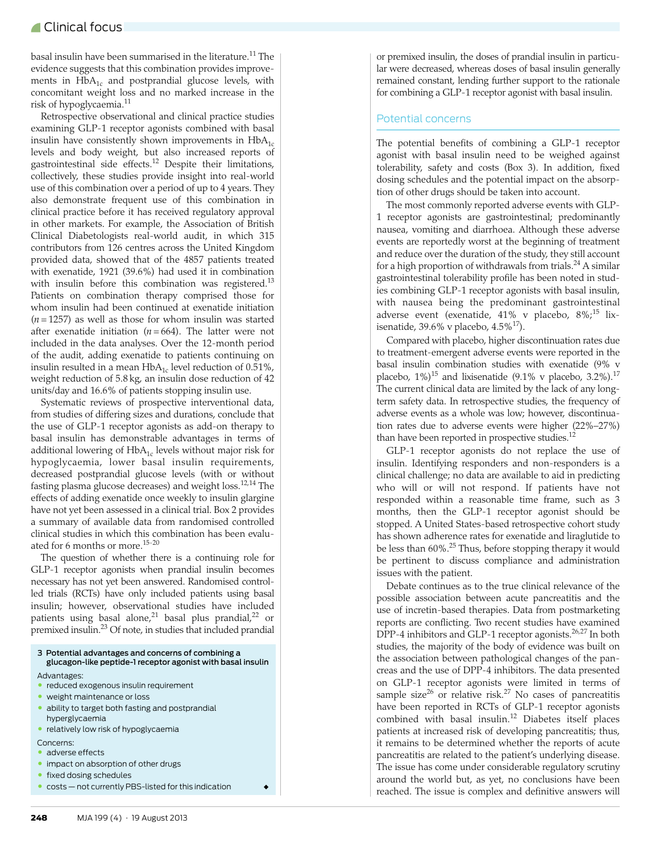basal insulin have been summarised in the literature.<sup>11</sup> The evidence suggests that this combination provides improvements in  $HbA_{1c}$  and postprandial glucose levels, with concomitant weight loss and no marked increase in the risk of hypoglycaemia.<sup>[11](#page-3-8)</sup>

Retrospective observational and clinical practice studies examining GLP-1 receptor agonists combined with basal insulin have consistently shown improvements in  $HbA_{1c}$ levels and body weight, but also increased reports of gastrointestinal side effects[.12](#page-3-9) Despite their limitations, collectively, these studies provide insight into real-world use of this combination over a period of up to 4 years. They also demonstrate frequent use of this combination in clinical practice before it has received regulatory approval in other markets. For example, the Association of British Clinical Diabetologists real-world audit, in which 315 contributors from 126 centres across the United Kingdom provided data, showed that of the 4857 patients treated with exenatide, 1921 (39.6%) had used it in combination with insulin before this combination was registered.<sup>[13](#page-3-10)</sup> Patients on combination therapy comprised those for whom insulin had been continued at exenatide initiation (*n* = 1257) as well as those for whom insulin was started after exenatide initiation  $(n = 664)$ . The latter were not included in the data analyses. Over the 12-month period of the audit, adding exenatide to patients continuing on insulin resulted in a mean  $HbA_{1c}$  level reduction of 0.51%, weight reduction of 5.8 kg, an insulin dose reduction of 42 units/day and 16.6% of patients stopping insulin use.

Systematic reviews of prospective interventional data, from studies of differing sizes and durations, conclude that the use of GLP-1 receptor agonists as add-on therapy to basal insulin has demonstrable advantages in terms of additional lowering of  $HbA_{1c}$  levels without major risk for hypoglycaemia, lower basal insulin requirements, decreased postprandial glucose levels (with or without fasting plasma glucose decreases) and weight loss.[12](#page-3-9),[14](#page-3-11) The effects of adding exenatide once weekly to insulin glargine have not yet been assessed in a clinical trial. Box 2 provides a summary of available data from randomised controlled clinical studies in which this combination has been evalu-ated for 6 months or more.<sup>[15-](#page-3-12)[20](#page-3-13)</sup>

The question of whether there is a continuing role for GLP-1 receptor agonists when prandial insulin becomes necessary has not yet been answered. Randomised controlled trials (RCTs) have only included patients using basal insulin; however, observational studies have included patients using basal alone,<sup>21</sup> basal plus prandial,<sup>22</sup> or premixed insulin[.23](#page-3-16) Of note, in studies that included prandial

3 Potential advantages and concerns of combining a glucagon-like peptide-1 receptor agonist with basal insulin Advantages:

- reduced exogenous insulin requirement
- weight maintenance or loss
- ability to target both fasting and postprandial hyperglycaemia
- relatively low risk of hypoglycaemia
- Concerns:
- adverse effects
- impact on absorption of other drugs
- fixed dosing schedules
- costs not currently PBS-listed for this indication ◆

or premixed insulin, the doses of prandial insulin in particular were decreased, whereas doses of basal insulin generally remained constant, lending further support to the rationale for combining a GLP-1 receptor agonist with basal insulin.

#### Potential concerns

The potential benefits of combining a GLP-1 receptor agonist with basal insulin need to be weighed against tolerability, safety and costs (Box 3). In addition, fixed dosing schedules and the potential impact on the absorption of other drugs should be taken into account.

The most commonly reported adverse events with GLP-1 receptor agonists are gastrointestinal; predominantly nausea, vomiting and diarrhoea. Although these adverse events are reportedly worst at the beginning of treatment and reduce over the duration of the study, they still account for a high proportion of withdrawals from trials.<sup>24</sup> A similar gastrointestinal tolerability profile has been noted in studies combining GLP-1 receptor agonists with basal insulin, with nausea being the predominant gastrointestinal adverse event (exenatide, 41% v placebo, 8%;<sup>[15](#page-3-12)</sup> lixisenatide, 39.6% v placebo,  $4.5\frac{17}{1}$  $4.5\frac{17}{1}$  $4.5\frac{17}{1}$ .

Compared with placebo, higher discontinuation rates due to treatment-emergent adverse events were reported in the basal insulin combination studies with exenatide (9% v placebo,  $1\%$ <sup>15</sup> and lixisenatide (9.1% v placebo, 3.2%).<sup>[17](#page-3-18)</sup> The current clinical data are limited by the lack of any longterm safety data. In retrospective studies, the frequency of adverse events as a whole was low; however, discontinuation rates due to adverse events were higher (22%–27%) than have been reported in prospective studies.<sup>12</sup>

GLP-1 receptor agonists do not replace the use of insulin. Identifying responders and non-responders is a clinical challenge; no data are available to aid in predicting who will or will not respond. If patients have not responded within a reasonable time frame, such as 3 months, then the GLP-1 receptor agonist should be stopped. A United States-based retrospective cohort study has shown adherence rates for exenatide and liraglutide to be less than 60%.[25](#page-3-19) Thus, before stopping therapy it would be pertinent to discuss compliance and administration issues with the patient.

Debate continues as to the true clinical relevance of the possible association between acute pancreatitis and the use of incretin-based therapies. Data from postmarketing reports are conflicting. Two recent studies have examined DPP-4 inhibitors and GLP-1 receptor agonists.<sup>[26](#page-3-20),[27](#page-3-4)</sup> In both studies, the majority of the body of evidence was built on the association between pathological changes of the pancreas and the use of DPP-4 inhibitors. The data presented on GLP-1 receptor agonists were limited in terms of sample size<sup>26</sup> or relative risk.<sup>[27](#page-3-4)</sup> No cases of pancreatitis have been reported in RCTs of GLP-1 receptor agonists combined with basal insulin.[12](#page-3-9) Diabetes itself places patients at increased risk of developing pancreatitis; thus, it remains to be determined whether the reports of acute pancreatitis are related to the patient's underlying disease. The issue has come under considerable regulatory scrutiny around the world but, as yet, no conclusions have been reached. The issue is complex and definitive answers will